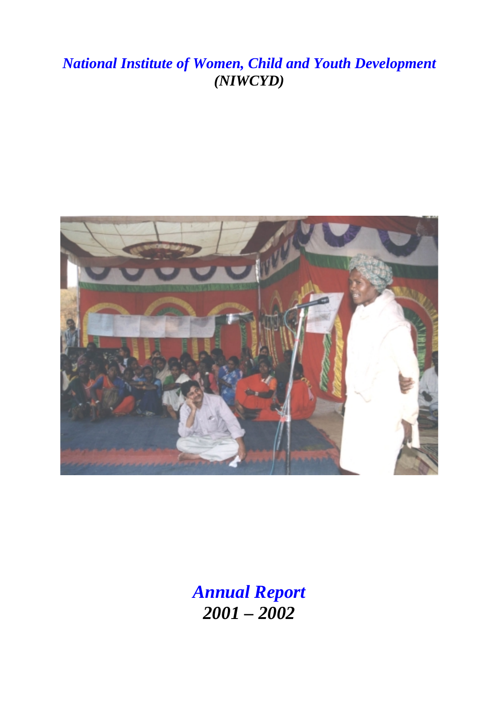# *National Institute of Women, Child and Youth Development (NIWCYD)*



*Annual Report 2001 – 2002*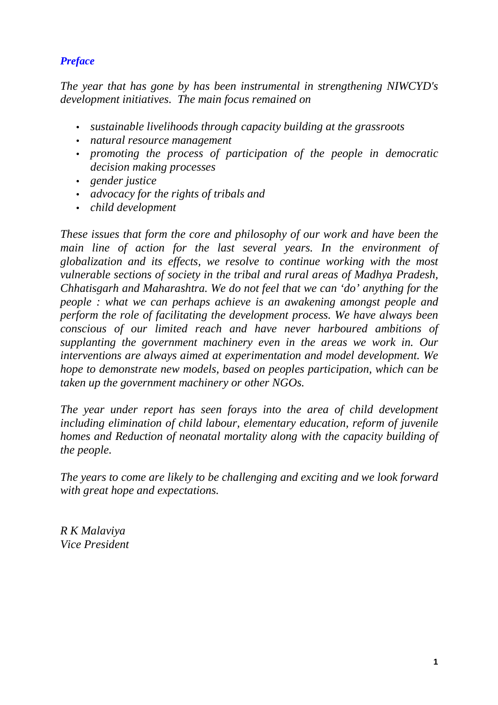### *Preface*

*The year that has gone by has been instrumental in strengthening NIWCYD's development initiatives. The main focus remained on* 

- *sustainable livelihoods through capacity building at the grassroots*
- *natural resource management*
- *promoting the process of participation of the people in democratic decision making processes*
- *gender justice*
- *advocacy for the rights of tribals and*
- *child development*

*These issues that form the core and philosophy of our work and have been the*  main line of action for the last several years. In the environment of *globalization and its effects, we resolve to continue working with the most vulnerable sections of society in the tribal and rural areas of Madhya Pradesh, Chhatisgarh and Maharashtra. We do not feel that we can 'do' anything for the people : what we can perhaps achieve is an awakening amongst people and perform the role of facilitating the development process. We have always been conscious of our limited reach and have never harboured ambitions of supplanting the government machinery even in the areas we work in. Our interventions are always aimed at experimentation and model development. We hope to demonstrate new models, based on peoples participation, which can be taken up the government machinery or other NGOs.* 

*The year under report has seen forays into the area of child development including elimination of child labour, elementary education, reform of juvenile homes and Reduction of neonatal mortality along with the capacity building of the people.* 

*The years to come are likely to be challenging and exciting and we look forward with great hope and expectations.* 

*R K Malaviya Vice President*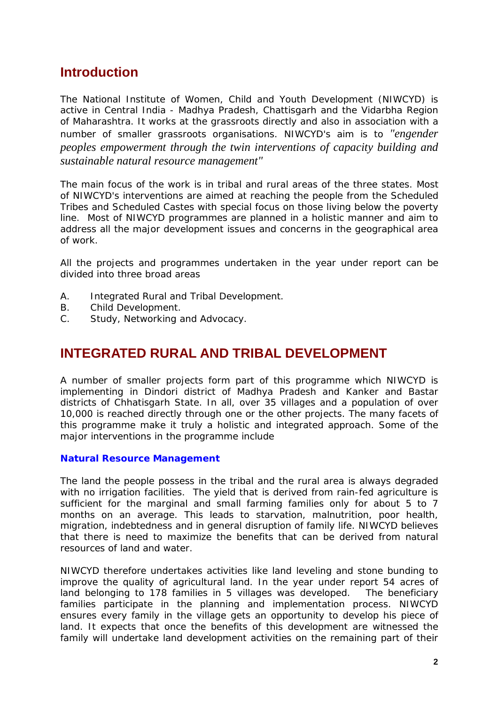### **Introduction**

The National Institute of Women, Child and Youth Development (NIWCYD) is active in Central India - Madhya Pradesh, Chattisgarh and the Vidarbha Region of Maharashtra. It works at the grassroots directly and also in association with a number of smaller grassroots organisations. NIWCYD's aim is to *"engender peoples empowerment through the twin interventions of capacity building and sustainable natural resource management"* 

The main focus of the work is in tribal and rural areas of the three states. Most of NIWCYD's interventions are aimed at reaching the people from the Scheduled Tribes and Scheduled Castes with special focus on those living below the poverty line. Most of NIWCYD programmes are planned in a holistic manner and aim to address all the major development issues and concerns in the geographical area of work.

All the projects and programmes undertaken in the year under report can be divided into three broad areas

- A. Integrated Rural and Tribal Development.
- B. Child Development.
- C. Study, Networking and Advocacy.

## **INTEGRATED RURAL AND TRIBAL DEVELOPMENT**

A number of smaller projects form part of this programme which NIWCYD is implementing in Dindori district of Madhya Pradesh and Kanker and Bastar districts of Chhatisgarh State. In all, over 35 villages and a population of over 10,000 is reached directly through one or the other projects. The many facets of this programme make it truly a holistic and integrated approach. Some of the major interventions in the programme include

#### **Natural Resource Management**

The land the people possess in the tribal and the rural area is always degraded with no irrigation facilities. The yield that is derived from rain-fed agriculture is sufficient for the marginal and small farming families only for about 5 to 7 months on an average. This leads to starvation, malnutrition, poor health, migration, indebtedness and in general disruption of family life. NIWCYD believes that there is need to maximize the benefits that can be derived from natural resources of land and water.

NIWCYD therefore undertakes activities like land leveling and stone bunding to improve the quality of agricultural land. In the year under report 54 acres of land belonging to 178 families in 5 villages was developed. The beneficiary families participate in the planning and implementation process. NIWCYD ensures every family in the village gets an opportunity to develop his piece of land. It expects that once the benefits of this development are witnessed the family will undertake land development activities on the remaining part of their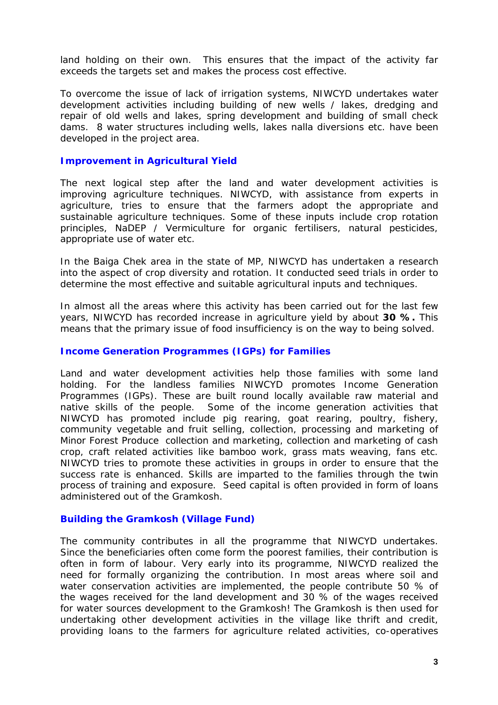land holding on their own. This ensures that the impact of the activity far exceeds the targets set and makes the process cost effective.

To overcome the issue of lack of irrigation systems, NIWCYD undertakes water development activities including building of new wells / lakes, dredging and repair of old wells and lakes, spring development and building of small check dams. 8 water structures including wells, lakes nalla diversions etc. have been developed in the project area.

#### **Improvement in Agricultural Yield**

The next logical step after the land and water development activities is improving agriculture techniques. NIWCYD, with assistance from experts in agriculture, tries to ensure that the farmers adopt the appropriate and sustainable agriculture techniques. Some of these inputs include crop rotation principles, NaDEP / Vermiculture for organic fertilisers, natural pesticides, appropriate use of water etc.

In the Baiga Chek area in the state of MP, NIWCYD has undertaken a research into the aspect of crop diversity and rotation. It conducted seed trials in order to determine the most effective and suitable agricultural inputs and techniques.

In almost all the areas where this activity has been carried out for the last few years, NIWCYD has recorded increase in agriculture yield by about **30 %.** This means that the primary issue of food insufficiency is on the way to being solved.

#### **Income Generation Programmes (IGPs) for Families**

Land and water development activities help those families with some land holding. For the landless families NIWCYD promotes Income Generation Programmes (IGPs). These are built round locally available raw material and native skills of the people. Some of the income generation activities that NIWCYD has promoted include pig rearing, goat rearing, poultry, fishery, community vegetable and fruit selling, collection, processing and marketing of Minor Forest Produce collection and marketing, collection and marketing of cash crop, craft related activities like bamboo work, grass mats weaving, fans etc. NIWCYD tries to promote these activities in groups in order to ensure that the success rate is enhanced. Skills are imparted to the families through the twin process of training and exposure. Seed capital is often provided in form of loans administered out of the Gramkosh.

#### **Building the Gramkosh (Village Fund)**

The community contributes in all the programme that NIWCYD undertakes. Since the beneficiaries often come form the poorest families, their contribution is often in form of labour. Very early into its programme, NIWCYD realized the need for formally organizing the contribution. In most areas where soil and water conservation activities are implemented, the people contribute 50 % of the wages received for the land development and 30 % of the wages received for water sources development to the Gramkosh! The Gramkosh is then used for undertaking other development activities in the village like thrift and credit, providing loans to the farmers for agriculture related activities, co-operatives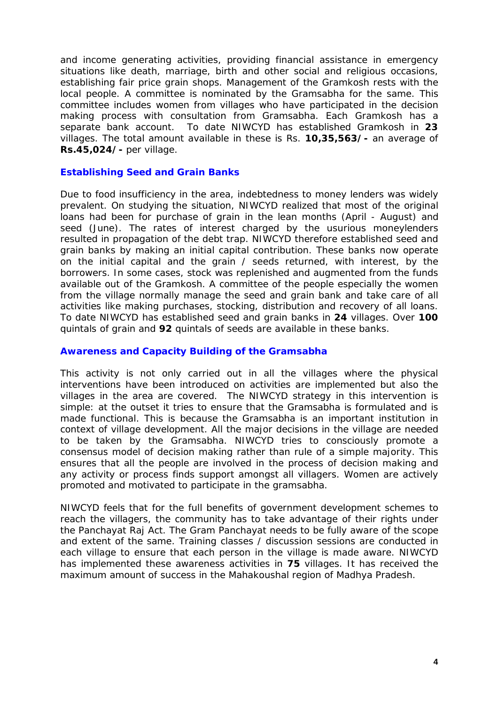and income generating activities, providing financial assistance in emergency situations like death, marriage, birth and other social and religious occasions, establishing fair price grain shops. Management of the Gramkosh rests with the local people. A committee is nominated by the Gramsabha for the same. This committee includes women from villages who have participated in the decision making process with consultation from Gramsabha. Each Gramkosh has a separate bank account. To date NIWCYD has established Gramkosh in **23**  villages. The total amount available in these is Rs. **10,35,563/-** an average of **Rs.45,024/-** per village.

#### **Establishing Seed and Grain Banks**

Due to food insufficiency in the area, indebtedness to money lenders was widely prevalent. On studying the situation, NIWCYD realized that most of the original loans had been for purchase of grain in the lean months (April - August) and seed (June). The rates of interest charged by the usurious moneylenders resulted in propagation of the debt trap. NIWCYD therefore established seed and grain banks by making an initial capital contribution. These banks now operate on the initial capital and the grain / seeds returned, with interest, by the borrowers. In some cases, stock was replenished and augmented from the funds available out of the Gramkosh. A committee of the people especially the women from the village normally manage the seed and grain bank and take care of all activities like making purchases, stocking, distribution and recovery of all loans. To date NIWCYD has established seed and grain banks in **24** villages. Over **100** quintals of grain and **92** quintals of seeds are available in these banks.

#### **Awareness and Capacity Building of the Gramsabha**

This activity is not only carried out in all the villages where the physical interventions have been introduced on activities are implemented but also the villages in the area are covered. The NIWCYD strategy in this intervention is simple: at the outset it tries to ensure that the Gramsabha is formulated and is made functional. This is because the Gramsabha is an important institution in context of village development. All the major decisions in the village are needed to be taken by the Gramsabha. NIWCYD tries to consciously promote a consensus model of decision making rather than rule of a simple majority. This ensures that all the people are involved in the process of decision making and any activity or process finds support amongst all villagers. Women are actively promoted and motivated to participate in the gramsabha.

NIWCYD feels that for the full benefits of government development schemes to reach the villagers, the community has to take advantage of their rights under the Panchayat Raj Act. The Gram Panchayat needs to be fully aware of the scope and extent of the same. Training classes / discussion sessions are conducted in each village to ensure that each person in the village is made aware. NIWCYD has implemented these awareness activities in **75** villages. It has received the maximum amount of success in the Mahakoushal region of Madhya Pradesh.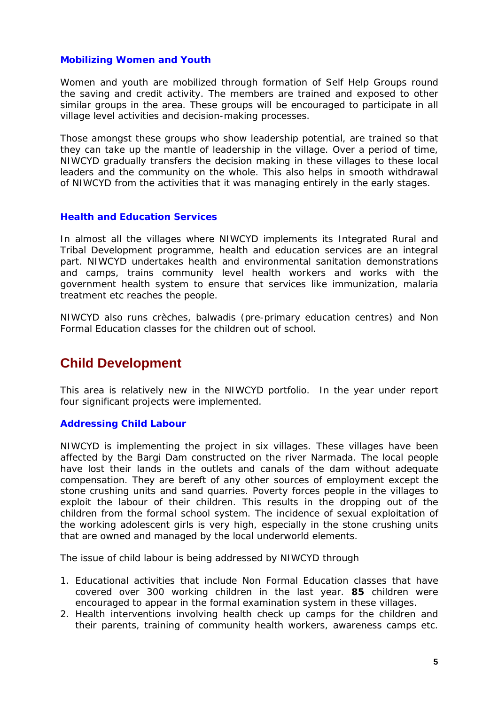#### **Mobilizing Women and Youth**

Women and youth are mobilized through formation of Self Help Groups round the saving and credit activity. The members are trained and exposed to other similar groups in the area. These groups will be encouraged to participate in all village level activities and decision-making processes.

Those amongst these groups who show leadership potential, are trained so that they can take up the mantle of leadership in the village. Over a period of time, NIWCYD gradually transfers the decision making in these villages to these local leaders and the community on the whole. This also helps in smooth withdrawal of NIWCYD from the activities that it was managing entirely in the early stages.

#### **Health and Education Services**

In almost all the villages where NIWCYD implements its Integrated Rural and Tribal Development programme, health and education services are an integral part. NIWCYD undertakes health and environmental sanitation demonstrations and camps, trains community level health workers and works with the government health system to ensure that services like immunization, malaria treatment etc reaches the people.

NIWCYD also runs crèches, balwadis (pre-primary education centres) and Non Formal Education classes for the children out of school.

### **Child Development**

This area is relatively new in the NIWCYD portfolio. In the year under report four significant projects were implemented.

#### **Addressing Child Labour**

NIWCYD is implementing the project in six villages. These villages have been affected by the Bargi Dam constructed on the river Narmada. The local people have lost their lands in the outlets and canals of the dam without adequate compensation. They are bereft of any other sources of employment except the stone crushing units and sand quarries. Poverty forces people in the villages to exploit the labour of their children. This results in the dropping out of the children from the formal school system. The incidence of sexual exploitation of the working adolescent girls is very high, especially in the stone crushing units that are owned and managed by the local underworld elements.

The issue of child labour is being addressed by NIWCYD through

- 1. Educational activities that include Non Formal Education classes that have covered over 300 working children in the last year. **85** children were encouraged to appear in the formal examination system in these villages.
- 2. Health interventions involving health check up camps for the children and their parents, training of community health workers, awareness camps etc.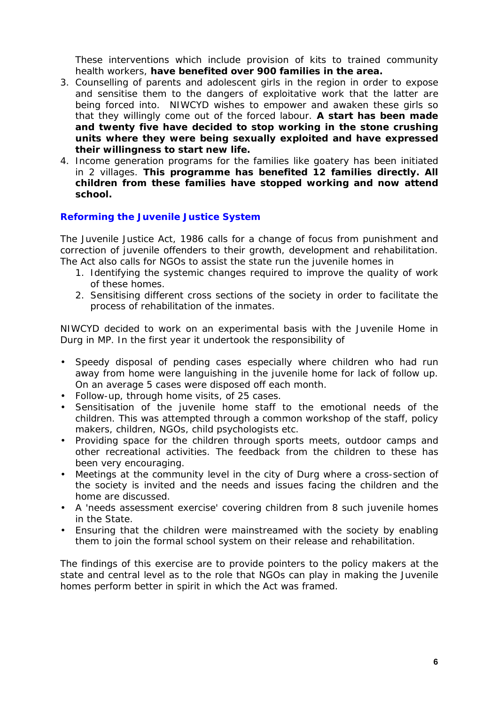These interventions which include provision of kits to trained community health workers, **have benefited over 900 families in the area.** 

- 3. Counselling of parents and adolescent girls in the region in order to expose and sensitise them to the dangers of exploitative work that the latter are being forced into. NIWCYD wishes to empower and awaken these girls so that they willingly come out of the forced labour. **A start has been made and twenty five have decided to stop working in the stone crushing units where they were being sexually exploited and have expressed their willingness to start new life.**
- 4. Income generation programs for the families like goatery has been initiated in 2 villages. **This programme has benefited 12 families directly. All children from these families have stopped working and now attend school.**

#### **Reforming the Juvenile Justice System**

The Juvenile Justice Act, 1986 calls for a change of focus from punishment and correction of juvenile offenders to their growth, development and rehabilitation. The Act also calls for NGOs to assist the state run the juvenile homes in

- 1. Identifying the systemic changes required to improve the quality of work of these homes.
- 2. Sensitising different cross sections of the society in order to facilitate the process of rehabilitation of the inmates.

NIWCYD decided to work on an experimental basis with the Juvenile Home in Durg in MP. In the first year it undertook the responsibility of

- Speedy disposal of pending cases especially where children who had run away from home were languishing in the juvenile home for lack of follow up. On an average 5 cases were disposed off each month.
- Follow-up, through home visits, of 25 cases.
- Sensitisation of the juvenile home staff to the emotional needs of the children. This was attempted through a common workshop of the staff, policy makers, children, NGOs, child psychologists etc.
- Providing space for the children through sports meets, outdoor camps and other recreational activities. The feedback from the children to these has been very encouraging.
- Meetings at the community level in the city of Durg where a cross-section of the society is invited and the needs and issues facing the children and the home are discussed.
- A 'needs assessment exercise' covering children from 8 such juvenile homes in the State.
- Ensuring that the children were mainstreamed with the society by enabling them to join the formal school system on their release and rehabilitation.

The findings of this exercise are to provide pointers to the policy makers at the state and central level as to the role that NGOs can play in making the Juvenile homes perform better in spirit in which the Act was framed.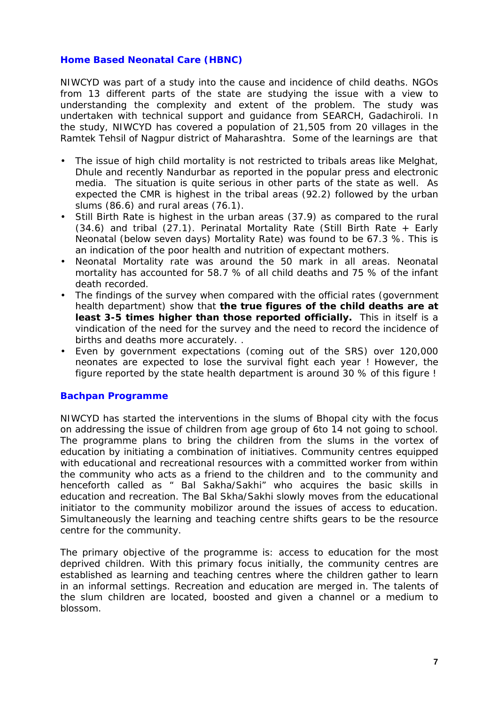#### **Home Based Neonatal Care (HBNC)**

NIWCYD was part of a study into the cause and incidence of child deaths. NGOs from 13 different parts of the state are studying the issue with a view to understanding the complexity and extent of the problem. The study was undertaken with technical support and guidance from SEARCH, Gadachiroli. In the study, NIWCYD has covered a population of 21,505 from 20 villages in the Ramtek Tehsil of Nagpur district of Maharashtra. Some of the learnings are that

- The issue of high child mortality is not restricted to tribals areas like Melghat, Dhule and recently Nandurbar as reported in the popular press and electronic media. The situation is quite serious in other parts of the state as well. As expected the CMR is highest in the tribal areas (92.2) followed by the urban slums (86.6) and rural areas (76.1).
- Still Birth Rate is highest in the urban areas (37.9) as compared to the rural (34.6) and tribal (27.1). Perinatal Mortality Rate (Still Birth Rate + Early Neonatal (below seven days) Mortality Rate) was found to be 67.3 %. This is an indication of the poor health and nutrition of expectant mothers.
- Neonatal Mortality rate was around the 50 mark in all areas. Neonatal mortality has accounted for 58.7 % of all child deaths and 75 % of the infant death recorded.
- The findings of the survey when compared with the official rates (government health department) show that **the true figures of the child deaths are at least 3-5 times higher than those reported officially.** This in itself is a vindication of the need for the survey and the need to record the incidence of births and deaths more accurately. .
- Even by government expectations (coming out of the SRS) over 120,000 neonates are expected to lose the survival fight each year ! However, the figure reported by the state health department is around 30 % of this figure !

#### **Bachpan Programme**

NIWCYD has started the interventions in the slums of Bhopal city with the focus on addressing the issue of children from age group of 6to 14 not going to school. The programme plans to bring the children from the slums in the vortex of education by initiating a combination of initiatives. Community centres equipped with educational and recreational resources with a committed worker from within the community who acts as a friend to the children and to the community and henceforth called as " Bal Sakha/Sakhi" who acquires the basic skills in education and recreation. The Bal Skha/Sakhi slowly moves from the educational initiator to the community mobilizor around the issues of access to education. Simultaneously the learning and teaching centre shifts gears to be the resource centre for the community.

The primary objective of the programme is: access to education for the most deprived children. With this primary focus initially, the community centres are established as learning and teaching centres where the children gather to learn in an informal settings. Recreation and education are merged in. The talents of the slum children are located, boosted and given a channel or a medium to blossom.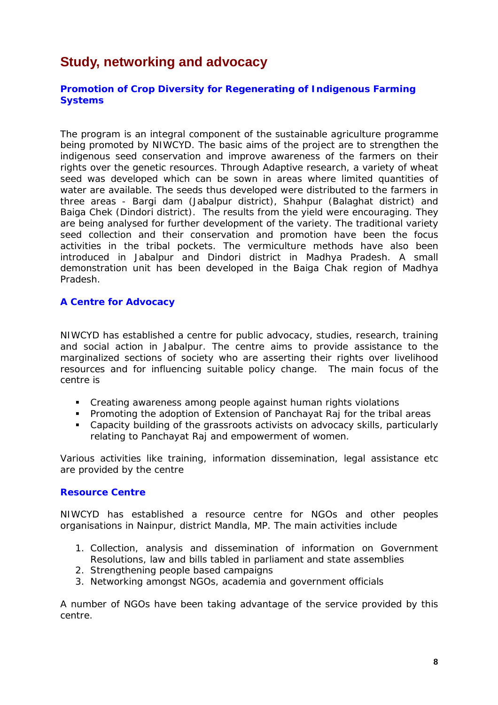# **Study, networking and advocacy**

#### **Promotion of Crop Diversity for Regenerating of Indigenous Farming Systems**

The program is an integral component of the sustainable agriculture programme being promoted by NIWCYD. The basic aims of the project are to strengthen the indigenous seed conservation and improve awareness of the farmers on their rights over the genetic resources. Through Adaptive research, a variety of wheat seed was developed which can be sown in areas where limited quantities of water are available. The seeds thus developed were distributed to the farmers in three areas - Bargi dam (Jabalpur district), Shahpur (Balaghat district) and Baiga Chek (Dindori district). The results from the yield were encouraging. They are being analysed for further development of the variety. The traditional variety seed collection and their conservation and promotion have been the focus activities in the tribal pockets. The vermiculture methods have also been introduced in Jabalpur and Dindori district in Madhya Pradesh. A small demonstration unit has been developed in the Baiga Chak region of Madhya Pradesh.

#### **A Centre for Advocacy**

NIWCYD has established a centre for public advocacy, studies, research, training and social action in Jabalpur. The centre aims to provide assistance to the marginalized sections of society who are asserting their rights over livelihood resources and for influencing suitable policy change. The main focus of the centre is

- Creating awareness among people against human rights violations
- **Promoting the adoption of Extension of Panchayat Raj for the tribal areas**
- Capacity building of the grassroots activists on advocacy skills, particularly relating to Panchayat Raj and empowerment of women.

Various activities like training, information dissemination, legal assistance etc are provided by the centre

#### **Resource Centre**

NIWCYD has established a resource centre for NGOs and other peoples organisations in Nainpur, district Mandla, MP. The main activities include

- 1. Collection, analysis and dissemination of information on Government Resolutions, law and bills tabled in parliament and state assemblies
- 2. Strengthening people based campaigns
- 3. Networking amongst NGOs, academia and government officials

A number of NGOs have been taking advantage of the service provided by this centre.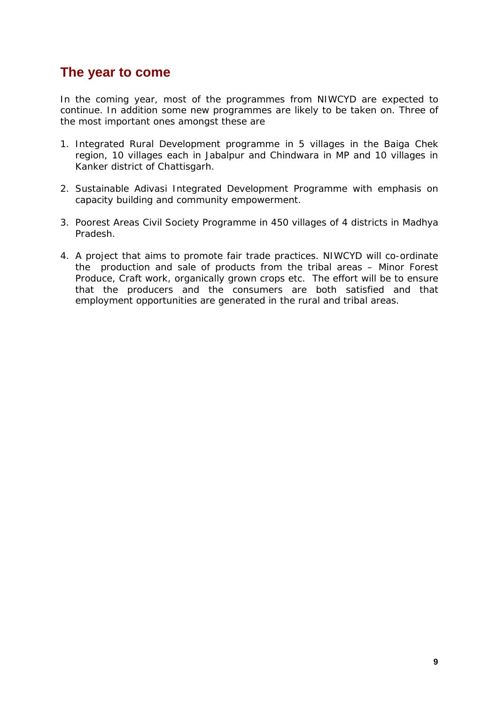### **The year to come**

In the coming year, most of the programmes from NIWCYD are expected to continue. In addition some new programmes are likely to be taken on. Three of the most important ones amongst these are

- 1. Integrated Rural Development programme in 5 villages in the Baiga Chek region, 10 villages each in Jabalpur and Chindwara in MP and 10 villages in Kanker district of Chattisgarh.
- 2. Sustainable Adivasi Integrated Development Programme with emphasis on capacity building and community empowerment.
- 3. Poorest Areas Civil Society Programme in 450 villages of 4 districts in Madhya Pradesh.
- 4. A project that aims to promote fair trade practices. NIWCYD will co-ordinate the production and sale of products from the tribal areas – Minor Forest Produce, Craft work, organically grown crops etc. The effort will be to ensure that the producers and the consumers are both satisfied and that employment opportunities are generated in the rural and tribal areas.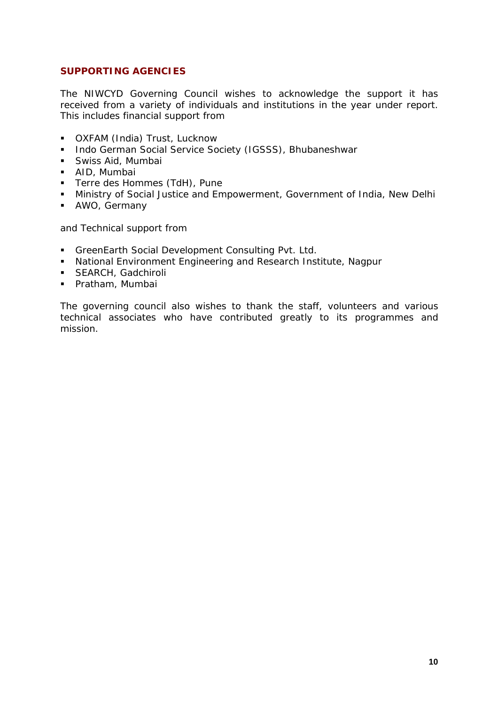#### **SUPPORTING AGENCIES**

The NIWCYD Governing Council wishes to acknowledge the support it has received from a variety of individuals and institutions in the year under report. This includes financial support from

- **OXFAM (India) Trust, Lucknow**
- **Indo German Social Service Society (IGSSS), Bhubaneshwar**
- **Swiss Aid, Mumbai**
- **AID, Mumbai**
- **Terre des Hommes (TdH), Pune**
- **Ministry of Social Justice and Empowerment, Government of India, New Delhi**
- AWO, Germany

and Technical support from

- GreenEarth Social Development Consulting Pvt. Ltd.
- National Environment Engineering and Research Institute, Nagpur
- **SEARCH, Gadchiroli**
- Pratham, Mumbai

The governing council also wishes to thank the staff, volunteers and various technical associates who have contributed greatly to its programmes and mission.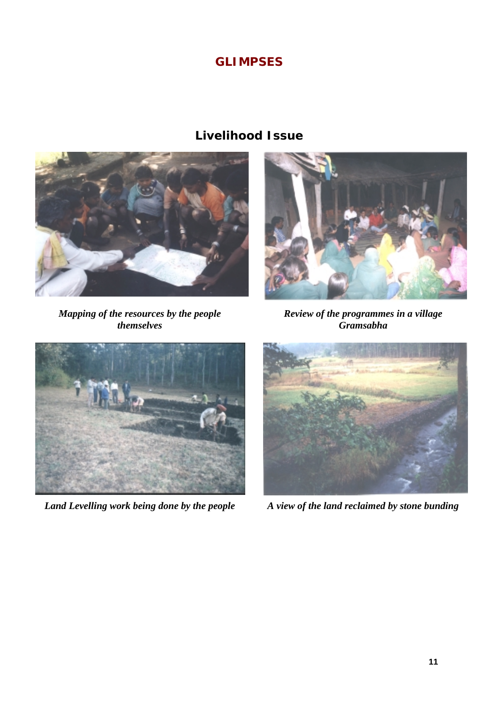### **GLIMPSES**

### **Livelihood Issue**



*Mapping of the resources by the people themselves* 



*Review of the programmes in a village Gramsabha* 



*Land Levelling work being done by the people A view of the land reclaimed by stone bunding* 

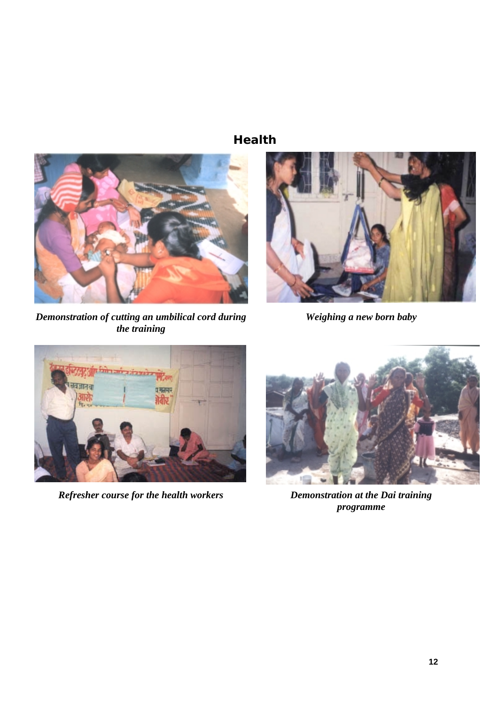### **Health**



*Demonstration of cutting an umbilical cord during the training* 



 *Weighing a new born baby* 



*Refresher course for the health workers Demonstration at the Dai training* 



*programme*